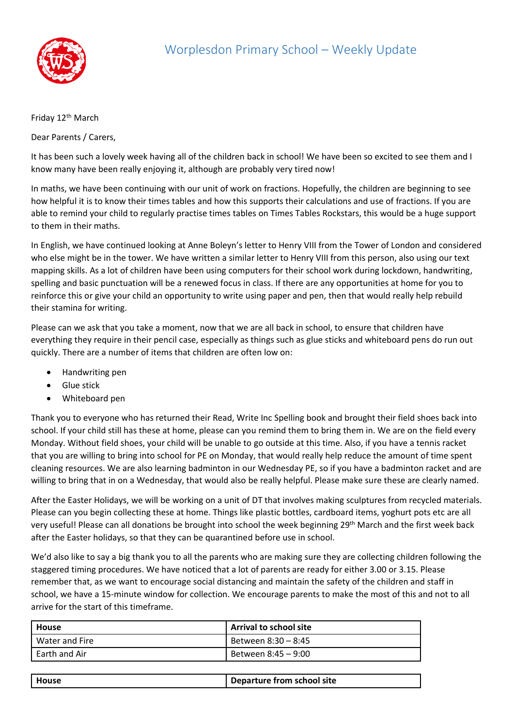

## Friday 12<sup>th</sup> March

Dear Parents / Carers,

It has been such a lovely week having all of the children back in school! We have been so excited to see them and I know many have been really enjoying it, although are probably very tired now!

In maths, we have been continuing with our unit of work on fractions. Hopefully, the children are beginning to see how helpful it is to know their times tables and how this supports their calculations and use of fractions. If you are able to remind your child to regularly practise times tables on Times Tables Rockstars, this would be a huge support to them in their maths.

In English, we have continued looking at Anne Boleyn's letter to Henry VIII from the Tower of London and considered who else might be in the tower. We have written a similar letter to Henry VIII from this person, also using our text mapping skills. As a lot of children have been using computers for their school work during lockdown, handwriting, spelling and basic punctuation will be a renewed focus in class. If there are any opportunities at home for you to reinforce this or give your child an opportunity to write using paper and pen, then that would really help rebuild their stamina for writing.

Please can we ask that you take a moment, now that we are all back in school, to ensure that children have everything they require in their pencil case, especially as things such as glue sticks and whiteboard pens do run out quickly. There are a number of items that children are often low on:

- Handwriting pen
- Glue stick
- Whiteboard pen

Thank you to everyone who has returned their Read, Write Inc Spelling book and brought their field shoes back into school. If your child still has these at home, please can you remind them to bring them in. We are on the field every Monday. Without field shoes, your child will be unable to go outside at this time. Also, if you have a tennis racket that you are willing to bring into school for PE on Monday, that would really help reduce the amount of time spent cleaning resources. We are also learning badminton in our Wednesday PE, so if you have a badminton racket and are willing to bring that in on a Wednesday, that would also be really helpful. Please make sure these are clearly named.

After the Easter Holidays, we will be working on a unit of DT that involves making sculptures from recycled materials. Please can you begin collecting these at home. Things like plastic bottles, cardboard items, yoghurt pots etc are all very useful! Please can all donations be brought into school the week beginning 29th March and the first week back after the Easter holidays, so that they can be quarantined before use in school.

We'd also like to say a big thank you to all the parents who are making sure they are collecting children following the staggered timing procedures. We have noticed that a lot of parents are ready for either 3.00 or 3.15. Please remember that, as we want to encourage social distancing and maintain the safety of the children and staff in school, we have a 15-minute window for collection. We encourage parents to make the most of this and not to all arrive for the start of this timeframe.

| House          | Arrival to school site |
|----------------|------------------------|
| Water and Fire | Between 8:30 – 8:45    |
| Earth and Air  | Between 8:45 - 9:00    |

| House | Departure from school site |
|-------|----------------------------|
|       |                            |